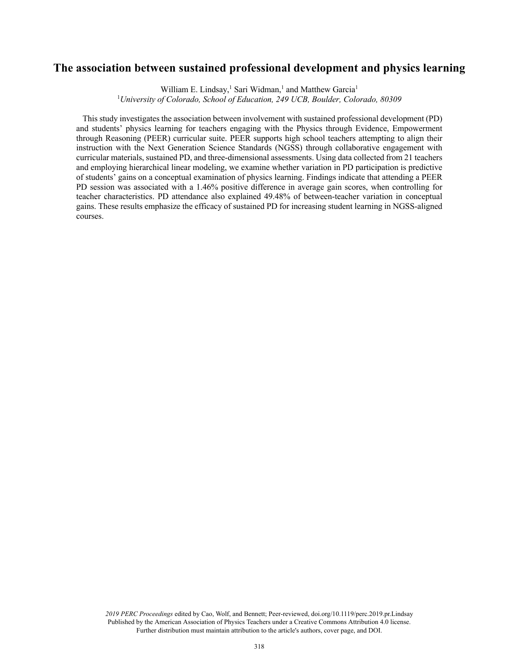# **The association between sustained professional development and physics learning**

William E. Lindsay,<sup>1</sup> Sari Widman,<sup>1</sup> and Matthew Garcia<sup>1</sup>

1 *University of Colorado, School of Education, 249 UCB, Boulder, Colorado, 80309*

 This study investigates the association between involvement with sustained professional development (PD) and students' physics learning for teachers engaging with the Physics through Evidence, Empowerment through Reasoning (PEER) curricular suite. PEER supports high school teachers attempting to align their instruction with the Next Generation Science Standards (NGSS) through collaborative engagement with curricular materials, sustained PD, and three-dimensional assessments. Using data collected from 21 teachers and employing hierarchical linear modeling, we examine whether variation in PD participation is predictive of students' gains on a conceptual examination of physics learning. Findings indicate that attending a PEER PD session was associated with a 1.46% positive difference in average gain scores, when controlling for teacher characteristics. PD attendance also explained 49.48% of between-teacher variation in conceptual gains. These results emphasize the efficacy of sustained PD for increasing student learning in NGSS-aligned courses.

*2019 PERC Proceedings* edited by Cao, Wolf, and Bennett; Peer-reviewed, doi.org/10.1119/perc.2019.pr.Lindsay Published by the American Association of Physics Teachers under a Creative Commons Attribution 4.0 license. Further distribution must maintain attribution to the article's authors, cover page, and DOI.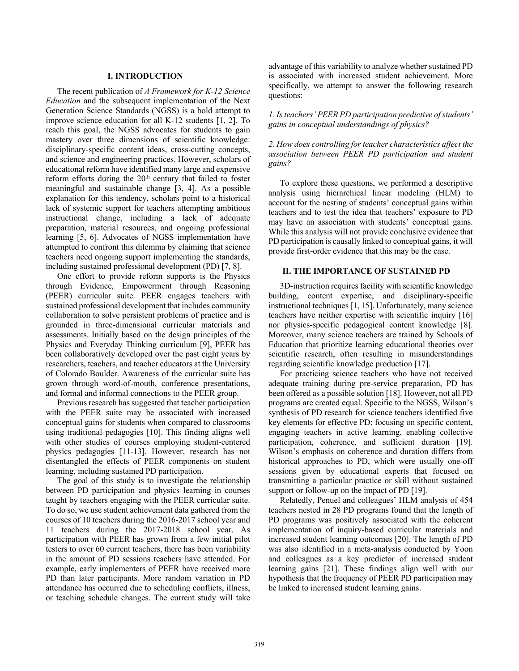#### **I. INTRODUCTION**

The recent publication of *A Framework for K-12 Science Education* and the subsequent implementation of the Next Generation Science Standards (NGSS) is a bold attempt to improve science education for all K-12 students [1, 2]. To reach this goal, the NGSS advocates for students to gain mastery over three dimensions of scientific knowledge: disciplinary-specific content ideas, cross-cutting concepts, and science and engineering practices. However, scholars of educational reform have identified many large and expensive reform efforts during the  $20<sup>th</sup>$  century that failed to foster meaningful and sustainable change [3, 4]. As a possible explanation for this tendency, scholars point to a historical lack of systemic support for teachers attempting ambitious instructional change, including a lack of adequate preparation, material resources, and ongoing professional learning [5, 6]. Advocates of NGSS implementation have attempted to confront this dilemma by claiming that science teachers need ongoing support implementing the standards, including sustained professional development (PD) [7, 8].

One effort to provide reform supports is the Physics through Evidence, Empowerment through Reasoning (PEER) curricular suite. PEER engages teachers with sustained professional development that includes community collaboration to solve persistent problems of practice and is grounded in three-dimensional curricular materials and assessments. Initially based on the design principles of the Physics and Everyday Thinking curriculum [9], PEER has been collaboratively developed over the past eight years by researchers, teachers, and teacher educators at the University of Colorado Boulder. Awareness of the curricular suite has grown through word-of-mouth, conference presentations, and formal and informal connections to the PEER group.

Previous research has suggested that teacher participation with the PEER suite may be associated with increased conceptual gains for students when compared to classrooms using traditional pedagogies [10]. This finding aligns well with other studies of courses employing student-centered physics pedagogies [11-13]. However, research has not disentangled the effects of PEER components on student learning, including sustained PD participation.

The goal of this study is to investigate the relationship between PD participation and physics learning in courses taught by teachers engaging with the PEER curricular suite. To do so, we use student achievement data gathered from the courses of 10 teachers during the 2016-2017 school year and 11 teachers during the 2017-2018 school year. As participation with PEER has grown from a few initial pilot testers to over 60 current teachers, there has been variability in the amount of PD sessions teachers have attended. For example, early implementers of PEER have received more PD than later participants. More random variation in PD attendance has occurred due to scheduling conflicts, illness, or teaching schedule changes. The current study will take advantage of this variability to analyze whether sustained PD is associated with increased student achievement. More specifically, we attempt to answer the following research questions:

*1. Is teachers' PEER PD participation predictive of students' gains in conceptual understandings of physics?*

*2. How does controlling for teacher characteristics affect the association between PEER PD participation and student gains?* 

To explore these questions, we performed a descriptive analysis using hierarchical linear modeling (HLM) to account for the nesting of students' conceptual gains within teachers and to test the idea that teachers' exposure to PD may have an association with students' conceptual gains. While this analysis will not provide conclusive evidence that PD participation is causally linked to conceptual gains, it will provide first-order evidence that this may be the case.

### **II. THE IMPORTANCE OF SUSTAINED PD**

3D-instruction requires facility with scientific knowledge building, content expertise, and disciplinary-specific instructional techniques [1, 15]. Unfortunately, many science teachers have neither expertise with scientific inquiry [16] nor physics-specific pedagogical content knowledge [8]. Moreover, many science teachers are trained by Schools of Education that prioritize learning educational theories over scientific research, often resulting in misunderstandings regarding scientific knowledge production [17].

For practicing science teachers who have not received adequate training during pre-service preparation, PD has been offered as a possible solution [18]. However, not all PD programs are created equal. Specific to the NGSS, Wilson's synthesis of PD research for science teachers identified five key elements for effective PD: focusing on specific content, engaging teachers in active learning, enabling collective participation, coherence, and sufficient duration [19]. Wilson's emphasis on coherence and duration differs from historical approaches to PD, which were usually one-off sessions given by educational experts that focused on transmitting a particular practice or skill without sustained support or follow-up on the impact of PD [19].

Relatedly, Penuel and colleagues' HLM analysis of 454 teachers nested in 28 PD programs found that the length of PD programs was positively associated with the coherent implementation of inquiry-based curricular materials and increased student learning outcomes [20]. The length of PD was also identified in a meta-analysis conducted by Yoon and colleagues as a key predictor of increased student learning gains [21]. These findings align well with our hypothesis that the frequency of PEER PD participation may be linked to increased student learning gains.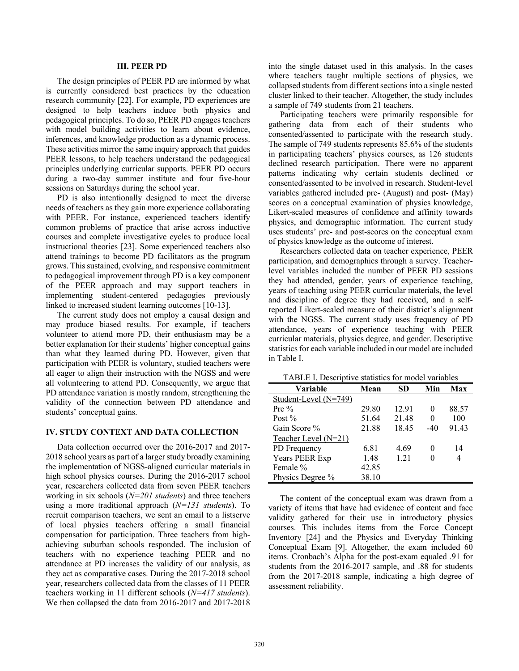## **III. PEER PD**

The design principles of PEER PD are informed by what is currently considered best practices by the education research community [22]. For example, PD experiences are designed to help teachers induce both physics and pedagogical principles. To do so, PEER PD engages teachers with model building activities to learn about evidence, inferences, and knowledge production as a dynamic process. These activities mirror the same inquiry approach that guides PEER lessons, to help teachers understand the pedagogical principles underlying curricular supports. PEER PD occurs during a two-day summer institute and four five-hour sessions on Saturdays during the school year.

PD is also intentionally designed to meet the diverse needs of teachers as they gain more experience collaborating with PEER. For instance, experienced teachers identify common problems of practice that arise across inductive courses and complete investigative cycles to produce local instructional theories [23]. Some experienced teachers also attend trainings to become PD facilitators as the program grows. This sustained, evolving, and responsive commitment to pedagogical improvement through PD is a key component of the PEER approach and may support teachers in implementing student-centered pedagogies previously linked to increased student learning outcomes [10-13].

The current study does not employ a causal design and may produce biased results. For example, if teachers volunteer to attend more PD, their enthusiasm may be a better explanation for their students' higher conceptual gains than what they learned during PD. However, given that participation with PEER is voluntary, studied teachers were all eager to align their instruction with the NGSS and were all volunteering to attend PD. Consequently, we argue that PD attendance variation is mostly random, strengthening the validity of the connection between PD attendance and students' conceptual gains.

#### **IV. STUDY CONTEXT AND DATA COLLECTION**

Data collection occurred over the 2016-2017 and 2017- 2018 school years as part of a larger study broadly examining the implementation of NGSS-aligned curricular materials in high school physics courses. During the 2016-2017 school year, researchers collected data from seven PEER teachers working in six schools (*N=201 students*) and three teachers using a more traditional approach (*N=131 students*). To recruit comparison teachers, we sent an email to a listserve of local physics teachers offering a small financial compensation for participation. Three teachers from highachieving suburban schools responded. The inclusion of teachers with no experience teaching PEER and no attendance at PD increases the validity of our analysis, as they act as comparative cases. During the 2017-2018 school year, researchers collected data from the classes of 11 PEER teachers working in 11 different schools (*N=417 students*). We then collapsed the data from 2016-2017 and 2017-2018 into the single dataset used in this analysis. In the cases where teachers taught multiple sections of physics, we collapsed students from different sections into a single nested cluster linked to their teacher. Altogether, the study includes a sample of 749 students from 21 teachers.

Participating teachers were primarily responsible for gathering data from each of their students who consented/assented to participate with the research study. The sample of 749 students represents 85.6% of the students in participating teachers' physics courses, as 126 students declined research participation. There were no apparent patterns indicating why certain students declined or consented/assented to be involved in research. Student-level variables gathered included pre- (August) and post- (May) scores on a conceptual examination of physics knowledge, Likert-scaled measures of confidence and affinity towards physics, and demographic information. The current study uses students' pre- and post-scores on the conceptual exam of physics knowledge as the outcome of interest.

Researchers collected data on teacher experience, PEER participation, and demographics through a survey. Teacherlevel variables included the number of PEER PD sessions they had attended, gender, years of experience teaching, years of teaching using PEER curricular materials, the level and discipline of degree they had received, and a selfreported Likert-scaled measure of their district's alignment with the NGSS. The current study uses frequency of PD attendance, years of experience teaching with PEER curricular materials, physics degree, and gender. Descriptive statistics for each variable included in our model are included in Table I.

TABLE I. Descriptive statistics for model variables

| Variable              | Mean  | SD    | Min      | Max   |
|-----------------------|-------|-------|----------|-------|
| Student-Level (N=749) |       |       |          |       |
| Pre $\%$              | 29.80 | 12.91 | $\theta$ | 88.57 |
| Post $%$              | 51.64 | 21.48 | 0        | 100   |
| Gain Score %          | 21.88 | 18.45 | $-40$    | 91.43 |
| Teacher Level (N=21)  |       |       |          |       |
| PD Frequency          | 6.81  | 4.69  | 0        | 14    |
| Years PEER Exp        | 1.48  | 1.21  | 0        | 4     |
| Female %              | 42.85 |       |          |       |
| Physics Degree %      | 38.10 |       |          |       |

The content of the conceptual exam was drawn from a variety of items that have had evidence of content and face validity gathered for their use in introductory physics courses. This includes items from the Force Concept Inventory [24] and the Physics and Everyday Thinking Conceptual Exam [9]. Altogether, the exam included 60 items. Cronbach's Alpha for the post-exam equaled .91 for students from the 2016-2017 sample, and .88 for students from the 2017-2018 sample, indicating a high degree of assessment reliability.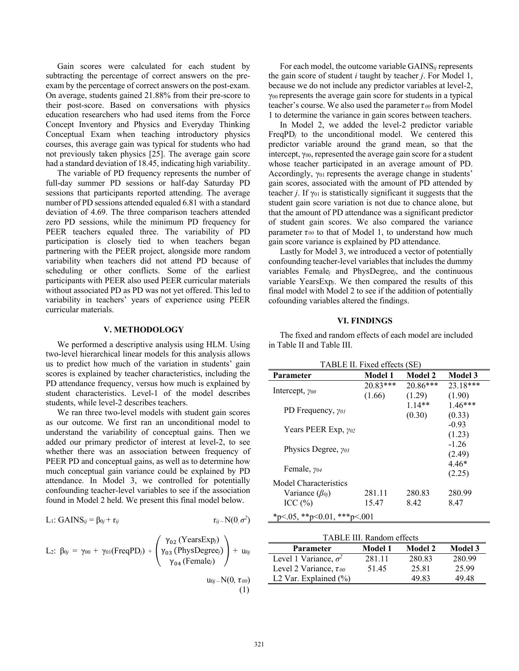Gain scores were calculated for each student by subtracting the percentage of correct answers on the preexam by the percentage of correct answers on the post-exam. On average, students gained 21.88% from their pre-score to their post-score. Based on conversations with physics education researchers who had used items from the Force Concept Inventory and Physics and Everyday Thinking Conceptual Exam when teaching introductory physics courses, this average gain was typical for students who had not previously taken physics [25]. The average gain score had a standard deviation of 18.45, indicating high variability.

The variable of PD frequency represents the number of full-day summer PD sessions or half-day Saturday PD sessions that participants reported attending. The average number of PD sessions attended equaled 6.81 with a standard deviation of 4.69. The three comparison teachers attended zero PD sessions, while the minimum PD frequency for PEER teachers equaled three. The variability of PD participation is closely tied to when teachers began partnering with the PEER project, alongside more random variability when teachers did not attend PD because of scheduling or other conflicts. Some of the earliest participants with PEER also used PEER curricular materials without associated PD as PD was not yet offered. This led to variability in teachers' years of experience using PEER curricular materials.

#### **V. METHODOLOGY**

We performed a descriptive analysis using HLM. Using two-level hierarchical linear models for this analysis allows us to predict how much of the variation in students' gain scores is explained by teacher characteristics, including the PD attendance frequency, versus how much is explained by student characteristics. Level-1 of the model describes students, while level-2 describes teachers.

We ran three two-level models with student gain scores as our outcome. We first ran an unconditional model to understand the variability of conceptual gains. Then we added our primary predictor of interest at level-2, to see whether there was an association between frequency of PEER PD and conceptual gains, as well as to determine how much conceptual gain variance could be explained by PD attendance. In Model 3, we controlled for potentially confounding teacher-level variables to see if the association found in Model 2 held. We present this final model below.

$$
L_1: GAMNS_{ij} = \beta_{0j} + r_{ij} \qquad \qquad r_{ij} \sim N(0, \sigma^2)
$$

L<sub>2</sub>: 
$$
\beta_{0j} = \gamma_{00} + \gamma_{01}(\text{FreqPD}_j) + \begin{pmatrix} \gamma_{02} (\text{YearsExp}_j) \\ \gamma_{03} (\text{PhysDegree}_j) \\ \gamma_{04} (\text{Female}_j) \end{pmatrix} + u_{0j}
$$
  
\n $u_{0j} \sim N(0, \tau_{00})$  (1)

For each model, the outcome variable GAINS*ij* represents the gain score of student *i* taught by teacher *j*. For Model 1, because we do not include any predictor variables at level-2, γ00 represents the average gain score for students in a typical teacher's course. We also used the parameter  $\tau_{00}$  from Model 1 to determine the variance in gain scores between teachers.

In Model 2, we added the level-2 predictor variable FreqPD*<sup>j</sup>* to the unconditional model. We centered this predictor variable around the grand mean, so that the intercept,  $\gamma_{00}$ , represented the average gain score for a student whose teacher participated in an average amount of PD. Accordingly,  $\gamma_{01}$  represents the average change in students' gain scores, associated with the amount of PD attended by teacher *j*. If  $\gamma_{01}$  is statistically significant it suggests that the student gain score variation is not due to chance alone, but that the amount of PD attendance was a significant predictor of student gain scores. We also compared the variance parameter  $\tau_{00}$  to that of Model 1, to understand how much gain score variance is explained by PD attendance.

Lastly for Model 3, we introduced a vector of potentially confounding teacher-level variables that includes the dummy variables Female*<sup>j</sup>* and PhysDegree*j*, and the continuous variable YearsExp*j*. We then compared the results of this final model with Model 2 to see if the addition of potentially cofounding variables altered the findings.

### **VI. FINDINGS**

The fixed and random effects of each model are included in Table II and Table III.

TABLE II. Fixed effects (SE)

| Parameter                     | Model 1    | Model 2    | <b>Model 3</b> |
|-------------------------------|------------|------------|----------------|
| Intercept, $y_{00}$           | $20.83***$ | $20.86***$ | 23.18***       |
|                               | (1.66)     | (1.29)     | (1.90)         |
| PD Frequency, $\gamma_{0I}$   |            | $1.14**$   | $1.46***$      |
|                               |            | (0.30)     | (0.33)         |
| Years PEER Exp, $\gamma_{02}$ |            |            | $-0.93$        |
|                               |            |            | (1.23)         |
| Physics Degree, $\gamma_{03}$ |            |            | $-1.26$        |
|                               |            |            | (2.49)         |
| Female, $y_{04}$              |            |            | $4.46*$        |
|                               |            |            | (2.25)         |
| Model Characteristics         |            |            |                |
| Variance $(\beta_{0i})$       | 281.11     | 280.83     | 280.99         |
| ICC $(\% )$                   | 15.47      | 8.42       | 8.47           |
| *p<.05, **p<0.01, ***p<.001   |            |            |                |

| TABLE III. Random effects     |                |                |                |  |  |  |
|-------------------------------|----------------|----------------|----------------|--|--|--|
| <b>Parameter</b>              | <b>Model 1</b> | <b>Model 2</b> | <b>Model 3</b> |  |  |  |
| Level 1 Variance, $\sigma^2$  | 281.11         | 280.83         | 280.99         |  |  |  |
| Level 2 Variance, $\tau_{00}$ | 51.45          | 25.81          | 25.99          |  |  |  |
| L2 Var. Explained $(\%)$      |                | 49.83          | 49.48          |  |  |  |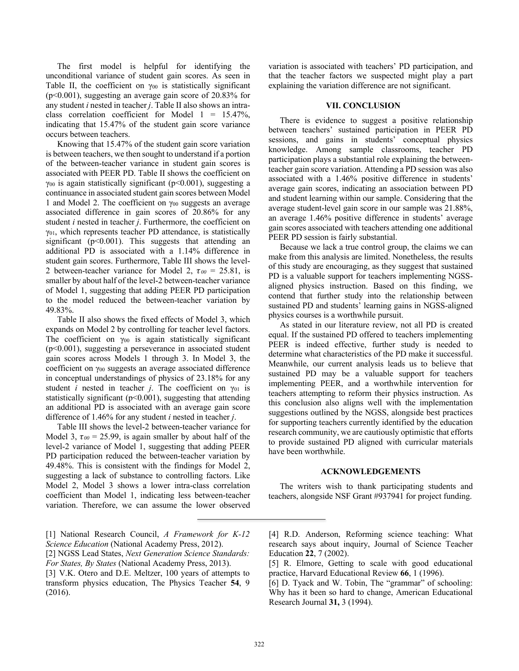The first model is helpful for identifying the unconditional variance of student gain scores. As seen in Table II, the coefficient on  $\gamma_{00}$  is statistically significant (p<0.001), suggesting an average gain score of 20.83% for any student *i* nested in teacher *j*. Table II also shows an intraclass correlation coefficient for Model  $1 = 15.47\%,$ indicating that 15.47% of the student gain score variance occurs between teachers.

Knowing that 15.47% of the student gain score variation is between teachers, we then sought to understand if a portion of the between-teacher variance in student gain scores is associated with PEER PD. Table II shows the coefficient on  $\gamma_{00}$  is again statistically significant (p<0.001), suggesting a continuance in associated student gain scores between Model 1 and Model 2. The coefficient on  $\gamma_{00}$  suggests an average associated difference in gain scores of 20.86% for any student *i* nested in teacher *j*. Furthermore, the coefficient on  $\gamma_{01}$ , which represents teacher PD attendance, is statistically significant ( $p<0.001$ ). This suggests that attending an additional PD is associated with a 1.14% difference in student gain scores. Furthermore, Table III shows the level-2 between-teacher variance for Model 2,  $\tau_{00} = 25.81$ , is smaller by about half of the level-2 between-teacher variance of Model 1, suggesting that adding PEER PD participation to the model reduced the between-teacher variation by 49.83%.

Table II also shows the fixed effects of Model 3, which expands on Model 2 by controlling for teacher level factors. The coefficient on  $\gamma_{00}$  is again statistically significant (p<0.001), suggesting a perseverance in associated student gain scores across Models 1 through 3. In Model 3, the coefficient on γ00 suggests an average associated difference in conceptual understandings of physics of 23.18% for any student *i* nested in teacher *j*. The coefficient on  $\gamma_{01}$  is statistically significant ( $p<0.001$ ), suggesting that attending an additional PD is associated with an average gain score difference of 1.46% for any student *i* nested in teacher *j*.

Table III shows the level-2 between-teacher variance for Model 3,  $\tau_{00} = 25.99$ , is again smaller by about half of the level-2 variance of Model 1, suggesting that adding PEER PD participation reduced the between-teacher variation by 49.48%. This is consistent with the findings for Model 2, suggesting a lack of substance to controlling factors. Like Model 2, Model 3 shows a lower intra-class correlation coefficient than Model 1, indicating less between-teacher variation. Therefore, we can assume the lower observed variation is associated with teachers' PD participation, and that the teacher factors we suspected might play a part explaining the variation difference are not significant.

#### **VII. CONCLUSION**

There is evidence to suggest a positive relationship between teachers' sustained participation in PEER PD sessions, and gains in students' conceptual physics knowledge. Among sample classrooms, teacher PD participation plays a substantial role explaining the betweenteacher gain score variation. Attending a PD session was also associated with a 1.46% positive difference in students' average gain scores, indicating an association between PD and student learning within our sample. Considering that the average student-level gain score in our sample was 21.88%, an average 1.46% positive difference in students' average gain scores associated with teachers attending one additional PEER PD session is fairly substantial.

Because we lack a true control group, the claims we can make from this analysis are limited. Nonetheless, the results of this study are encouraging, as they suggest that sustained PD is a valuable support for teachers implementing NGSSaligned physics instruction. Based on this finding, we contend that further study into the relationship between sustained PD and students' learning gains in NGSS-aligned physics courses is a worthwhile pursuit.

As stated in our literature review, not all PD is created equal. If the sustained PD offered to teachers implementing PEER is indeed effective, further study is needed to determine what characteristics of the PD make it successful. Meanwhile, our current analysis leads us to believe that sustained PD may be a valuable support for teachers implementing PEER, and a worthwhile intervention for teachers attempting to reform their physics instruction. As this conclusion also aligns well with the implementation suggestions outlined by the NGSS, alongside best practices for supporting teachers currently identified by the education research community, we are cautiously optimistic that efforts to provide sustained PD aligned with curricular materials have been worthwhile.

## **ACKNOWLEDGEMENTS**

The writers wish to thank participating students and teachers, alongside NSF Grant #937941 for project funding.

<sup>[1]</sup> National Research Council, *A Framework for K-12 Science Education* (National Academy Press, 2012).

<sup>[2]</sup> NGSS Lead States, *Next Generation Science Standards: For States, By States* (National Academy Press, 2013).

<sup>[3]</sup> V.K. Otero and D.E. Meltzer, 100 years of attempts to transform physics education, The Physics Teacher **54**, 9 (2016).

<sup>[4]</sup> R.D. Anderson, Reforming science teaching: What research says about inquiry, Journal of Science Teacher Education **22**, 7 (2002).

<sup>[5]</sup> R. Elmore, Getting to scale with good educational practice, Harvard Educational Review **66**, 1 (1996).

<sup>[6]</sup> D. Tyack and W. Tobin, The "grammar" of schooling: Why has it been so hard to change, American Educational Research Journal **31,** 3 (1994).